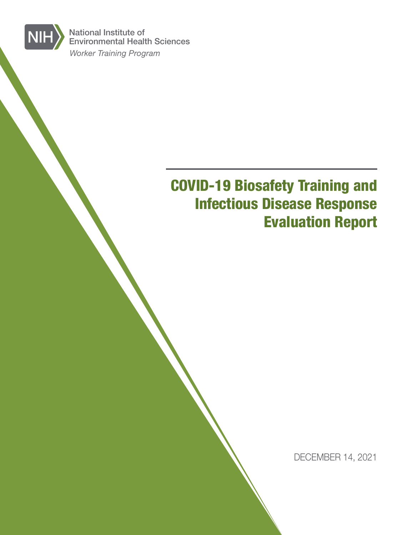*Worker Training Program* National Institute of Environmental Health Sciences

**NIH** 

# COVID-19 Biosafety Training and Infectious Disease Response Evaluation Report

DECEMBER 14, 2021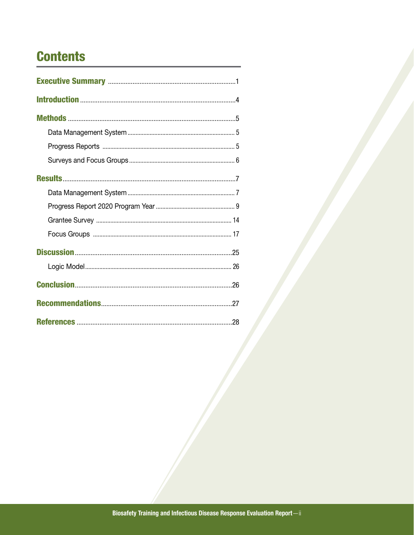# **Contents**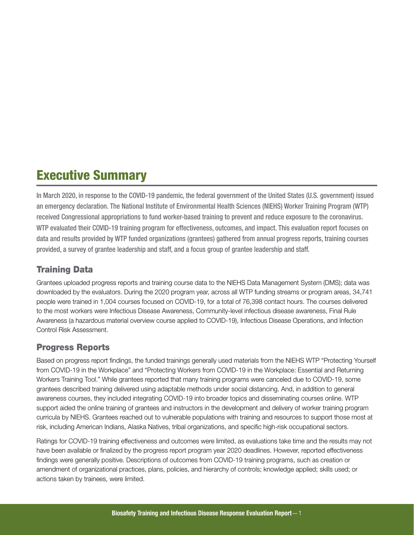## <span id="page-2-0"></span>Executive Summary

In March 2020, in response to the COVID-19 pandemic, the federal government of the United States (U.S. government) issued an emergency declaration. The National Institute of Environmental Health Sciences (NIEHS) Worker Training Program (WTP) received Congressional appropriations to fund worker-based training to prevent and reduce exposure to the coronavirus. WTP evaluated their COVID-19 training program for effectiveness, outcomes, and impact. This evaluation report focuses on data and results provided by WTP funded organizations (grantees) gathered from annual progress reports, training courses provided, a survey of grantee leadership and staff, and a focus group of grantee leadership and staff.

### Training Data

Grantees uploaded progress reports and training course data to the NIEHS Data Management System (DMS); data was downloaded by the evaluators. During the 2020 program year, across all WTP funding streams or program areas, 34,741 people were trained in 1,004 courses focused on COVID-19, for a total of 76,398 contact hours. The courses delivered to the most workers were Infectious Disease Awareness, Community-level infectious disease awareness, Final Rule Awareness (a hazardous material overview course applied to COVID-19), Infectious Disease Operations, and Infection Control Risk Assessment.

### Progress Reports

Based on progress report findings, the funded trainings generally used materials from the NIEHS WTP "Protecting Yourself from COVID-19 in the Workplace" and "Protecting Workers from COVID-19 in the Workplace: Essential and Returning Workers Training Tool." While grantees reported that many training programs were canceled due to COVID-19, some grantees described training delivered using adaptable methods under social distancing. And, in addition to general awareness courses, they included integrating COVID-19 into broader topics and disseminating courses online. WTP support aided the online training of grantees and instructors in the development and delivery of worker training program curricula by NIEHS. Grantees reached out to vulnerable populations with training and resources to support those most at risk, including American Indians, Alaska Natives, tribal organizations, and specific high-risk occupational sectors.

Ratings for COVID-19 training effectiveness and outcomes were limited, as evaluations take time and the results may not have been available or finalized by the progress report program year 2020 deadlines. However, reported effectiveness findings were generally positive. Descriptions of outcomes from COVID-19 training programs, such as creation or amendment of organizational practices, plans, policies, and hierarchy of controls; knowledge applied; skills used; or actions taken by trainees, were limited.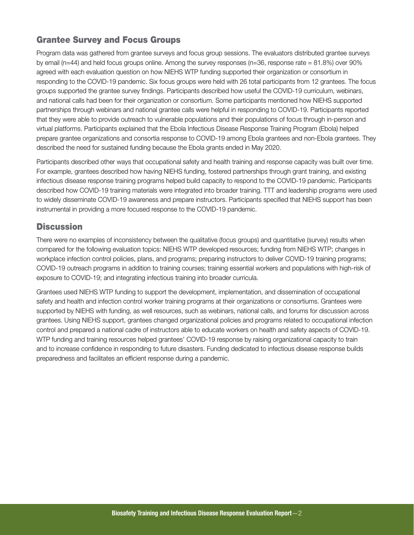### Grantee Survey and Focus Groups

Program data was gathered from grantee surveys and focus group sessions. The evaluators distributed grantee surveys by email (n=44) and held focus groups online. Among the survey responses (n=36, response rate = 81.8%) over 90% agreed with each evaluation question on how NIEHS WTP funding supported their organization or consortium in responding to the COVID-19 pandemic. Six focus groups were held with 26 total participants from 12 grantees. The focus groups supported the grantee survey findings. Participants described how useful the COVID-19 curriculum, webinars, and national calls had been for their organization or consortium. Some participants mentioned how NIEHS supported partnerships through webinars and national grantee calls were helpful in responding to COVID-19. Participants reported that they were able to provide outreach to vulnerable populations and their populations of focus through in-person and virtual platforms. Participants explained that the Ebola Infectious Disease Response Training Program (Ebola) helped prepare grantee organizations and consortia response to COVID-19 among Ebola grantees and non-Ebola grantees. They described the need for sustained funding because the Ebola grants ended in May 2020.

Participants described other ways that occupational safety and health training and response capacity was built over time. For example, grantees described how having NIEHS funding, fostered partnerships through grant training, and existing infectious disease response training programs helped build capacity to respond to the COVID-19 pandemic. Participants described how COVID-19 training materials were integrated into broader training. TTT and leadership programs were used to widely disseminate COVID-19 awareness and prepare instructors. Participants specified that NIEHS support has been instrumental in providing a more focused response to the COVID-19 pandemic.

### **Discussion**

There were no examples of inconsistency between the qualitative (focus groups) and quantitative (survey) results when compared for the following evaluation topics: NIEHS WTP developed resources; funding from NIEHS WTP; changes in workplace infection control policies, plans, and programs; preparing instructors to deliver COVID-19 training programs; COVID-19 outreach programs in addition to training courses; training essential workers and populations with high-risk of exposure to COVID-19; and integrating infectious training into broader curricula.

Grantees used NIEHS WTP funding to support the development, implementation, and dissemination of occupational safety and health and infection control worker training programs at their organizations or consortiums. Grantees were supported by NIEHS with funding, as well resources, such as webinars, national calls, and forums for discussion across grantees. Using NIEHS support, grantees changed organizational policies and programs related to occupational infection control and prepared a national cadre of instructors able to educate workers on health and safety aspects of COVID-19. WTP funding and training resources helped grantees' COVID-19 response by raising organizational capacity to train and to increase confidence in responding to future disasters. Funding dedicated to infectious disease response builds preparedness and facilitates an efficient response during a pandemic.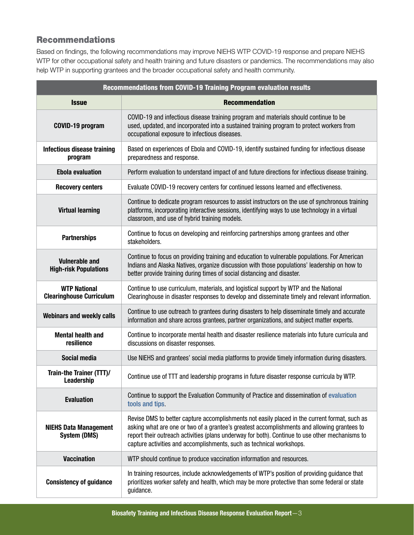### Recommendations

Based on findings, the following recommendations may improve NIEHS WTP COVID-19 response and prepare NIEHS WTP for other occupational safety and health training and future disasters or pandemics. The recommendations may also help WTP in supporting grantees and the broader occupational safety and health community.

| Recommendations from COVID-19 Training Program evaluation results |                                                                                                                                                                                                                                                                                                                                                                         |  |  |
|-------------------------------------------------------------------|-------------------------------------------------------------------------------------------------------------------------------------------------------------------------------------------------------------------------------------------------------------------------------------------------------------------------------------------------------------------------|--|--|
| <b>Issue</b>                                                      | <b>Recommendation</b>                                                                                                                                                                                                                                                                                                                                                   |  |  |
| COVID-19 program                                                  | COVID-19 and infectious disease training program and materials should continue to be<br>used, updated, and incorporated into a sustained training program to protect workers from<br>occupational exposure to infectious diseases.                                                                                                                                      |  |  |
| <b>Infectious disease training</b><br>program                     | Based on experiences of Ebola and COVID-19, identify sustained funding for infectious disease<br>preparedness and response.                                                                                                                                                                                                                                             |  |  |
| <b>Ebola evaluation</b>                                           | Perform evaluation to understand impact of and future directions for infectious disease training.                                                                                                                                                                                                                                                                       |  |  |
| <b>Recovery centers</b>                                           | Evaluate COVID-19 recovery centers for continued lessons learned and effectiveness.                                                                                                                                                                                                                                                                                     |  |  |
| <b>Virtual learning</b>                                           | Continue to dedicate program resources to assist instructors on the use of synchronous training<br>platforms, incorporating interactive sessions, identifying ways to use technology in a virtual<br>classroom, and use of hybrid training models.                                                                                                                      |  |  |
| <b>Partnerships</b>                                               | Continue to focus on developing and reinforcing partnerships among grantees and other<br>stakeholders.                                                                                                                                                                                                                                                                  |  |  |
| <b>Vulnerable and</b><br><b>High-risk Populations</b>             | Continue to focus on providing training and education to vulnerable populations. For American<br>Indians and Alaska Natives, organize discussion with those populations' leadership on how to<br>better provide training during times of social distancing and disaster.                                                                                                |  |  |
| <b>WTP National</b><br><b>Clearinghouse Curriculum</b>            | Continue to use curriculum, materials, and logistical support by WTP and the National<br>Clearinghouse in disaster responses to develop and disseminate timely and relevant information.                                                                                                                                                                                |  |  |
| <b>Webinars and weekly calls</b>                                  | Continue to use outreach to grantees during disasters to help disseminate timely and accurate<br>information and share across grantees, partner organizations, and subject matter experts.                                                                                                                                                                              |  |  |
| <b>Mental health and</b><br>resilience                            | Continue to incorporate mental health and disaster resilience materials into future curricula and<br>discussions on disaster responses.                                                                                                                                                                                                                                 |  |  |
| <b>Social media</b>                                               | Use NIEHS and grantees' social media platforms to provide timely information during disasters.                                                                                                                                                                                                                                                                          |  |  |
| Train-the Trainer (TTT)/<br>Leadership                            | Continue use of TTT and leadership programs in future disaster response curricula by WTP.                                                                                                                                                                                                                                                                               |  |  |
| <b>Evaluation</b>                                                 | Continue to support the Evaluation Community of Practice and dissemination of evaluation<br>tools and tips.                                                                                                                                                                                                                                                             |  |  |
| <b>NIEHS Data Management</b><br><b>System (DMS)</b>               | Revise DMS to better capture accomplishments not easily placed in the current format, such as<br>asking what are one or two of a grantee's greatest accomplishments and allowing grantees to<br>report their outreach activities (plans underway for both). Continue to use other mechanisms to<br>capture activities and accomplishments, such as technical workshops. |  |  |
| <b>Vaccination</b>                                                | WTP should continue to produce vaccination information and resources.                                                                                                                                                                                                                                                                                                   |  |  |
| <b>Consistency of guidance</b>                                    | In training resources, include acknowledgements of WTP's position of providing guidance that<br>prioritizes worker safety and health, which may be more protective than some federal or state<br>guidance.                                                                                                                                                              |  |  |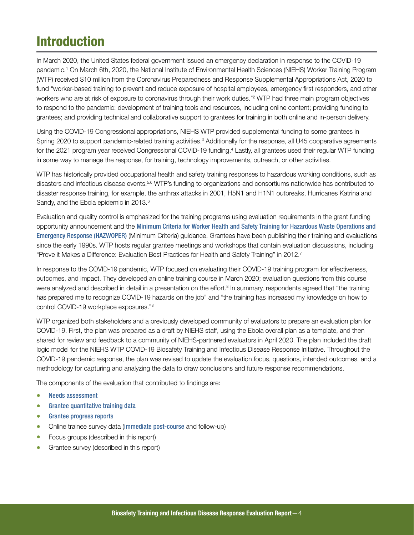## <span id="page-5-0"></span>Introduction

In March 2020, the United States federal government issued an emergency declaration in response to the COVID-19 pandemic.1 On March 6th, 2020, the National Institute of Environmental Health Sciences (NIEHS) Worker Training Program (WTP) received \$10 million from the Coronavirus Preparedness and Response Supplemental Appropriations Act, 2020 to fund "worker-based training to prevent and reduce exposure of hospital employees, emergency first responders, and other workers who are at risk of exposure to coronavirus through their work duties."<sup>2</sup> WTP had three main program objectives to respond to the pandemic: development of training tools and resources, including online content; providing funding to grantees; and providing technical and collaborative support to grantees for training in both online and in-person delivery.

Using the COVID-19 Congressional appropriations, NIEHS WTP provided supplemental funding to some grantees in Spring 2020 to support pandemic-related training activities.<sup>3</sup> Additionally for the response, all U45 cooperative agreements for the 2021 program year received Congressional COVID-19 funding.<sup>4</sup> Lastly, all grantees used their regular WTP funding in some way to manage the response, for training, technology improvements, outreach, or other activities.

WTP has historically provided occupational health and safety training responses to hazardous working conditions, such as disasters and infectious disease events.5,6 WTP's funding to organizations and consortiums nationwide has contributed to disaster response training, for example, the anthrax attacks in 2001, H5N1 and H1N1 outbreaks, Hurricanes Katrina and Sandy, and the Ebola epidemic in 2013.<sup>6</sup>

Evaluation and quality control is emphasized for the training programs using evaluation requirements in the grant funding opportunity announcement and the [Minimum Criteria for Worker Health and Safety Training for Hazardous Waste Operations and](https://tools.niehs.nih.gov/wetp/index.cfm?id=142)  [Emergency Response \(HAZWOPER\)](https://tools.niehs.nih.gov/wetp/index.cfm?id=142) (Minimum Criteria) guidance. Grantees have been publishing their training and evaluations since the early 1990s. WTP hosts regular grantee meetings and workshops that contain evaluation discussions, including "Prove it Makes a Difference: Evaluation Best Practices for Health and Safety Training" in 2012.7

In response to the COVID-19 pandemic, WTP focused on evaluating their COVID-19 training program for effectiveness, outcomes, and impact. They developed an online training course in March 2020; evaluation questions from this course were analyzed and described in detail in a presentation on the effort.<sup>8</sup> In summary, respondents agreed that "the training has prepared me to recognize COVID-19 hazards on the job" and "the training has increased my knowledge on how to control COVID-19 workplace exposures."8

WTP organized both stakeholders and a previously developed community of evaluators to prepare an evaluation plan for COVID-19. First, the plan was prepared as a draft by NIEHS staff, using the Ebola overall plan as a template, and then shared for review and feedback to a community of NIEHS-partnered evaluators in April 2020. The plan included the draft logic model for the NIEHS WTP COVID-19 Biosafety Training and Infectious Disease Response Initiative. Throughout the COVID-19 pandemic response, the plan was revised to update the evaluation focus, questions, intended outcomes, and a methodology for capturing and analyzing the data to draw conclusions and future response recommendations.

The components of the evaluation that contributed to findings are:

- [Needs assessment](https://tools.niehs.nih.gov/wetp/public/hasl_get_blob.cfm?ID=12361)
- [Grantee quantitative training data](https://www.niehs.nih.gov/careers/assets/docs/wtp_report_coronavirus_results_2020.pdf)
- [Grantee progress reports](https://www.niehs.nih.gov/careers/assets/docs/wtp_report_coronavirus_results_2020.pdf)
- Online trainee survey data ([immediate post-course](https://tools.niehs.nih.gov/wetp/public/hasl_get_blob.cfm?ID=12061) and follow-up)
- Focus groups (described in this report)
- Grantee survey (described in this report)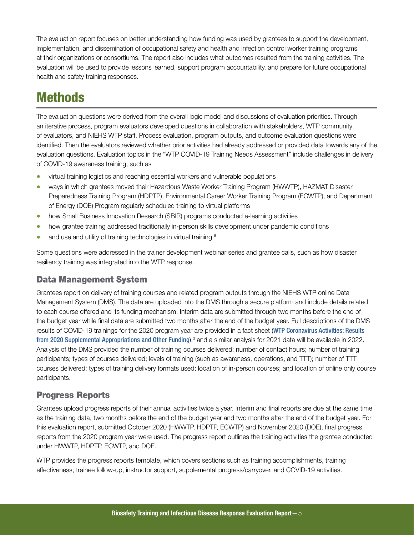<span id="page-6-0"></span>The evaluation report focuses on better understanding how funding was used by grantees to support the development, implementation, and dissemination of occupational safety and health and infection control worker training programs at their organizations or consortiums. The report also includes what outcomes resulted from the training activities. The evaluation will be used to provide lessons learned, support program accountability, and prepare for future occupational health and safety training responses.

## **Methods**

The evaluation questions were derived from the overall logic model and discussions of evaluation priorities. Through an iterative process, program evaluators developed questions in collaboration with stakeholders, WTP community of evaluators, and NIEHS WTP staff. Process evaluation, program outputs, and outcome evaluation questions were identified. Then the evaluators reviewed whether prior activities had already addressed or provided data towards any of the evaluation questions. Evaluation topics in the "WTP COVID-19 Training Needs Assessment" include challenges in delivery of COVID-19 awareness training, such as

- virtual training logistics and reaching essential workers and vulnerable populations
- ways in which grantees moved their Hazardous Waste Worker Training Program (HWWTP), HAZMAT Disaster Preparedness Training Program (HDPTP), Environmental Career Worker Training Program (ECWTP), and Department of Energy (DOE) Program regularly scheduled training to virtual platforms
- how Small Business Innovation Research (SBIR) programs conducted e-learning activities
- how grantee training addressed traditionally in-person skills development under pandemic conditions
- and use and utility of training technologies in virtual training.<sup>9</sup>

Some questions were addressed in the trainer development webinar series and grantee calls, such as how disaster resiliency training was integrated into the WTP response.

### Data Management System

Grantees report on delivery of training courses and related program outputs through the NIEHS WTP online Data Management System (DMS). The data are uploaded into the DMS through a secure platform and include details related to each course offered and its funding mechanism. Interim data are submitted through two months before the end of the budget year while final data are submitted two months after the end of the budget year. Full descriptions of the DMS results of COVID-19 trainings for the 2020 program year are provided in a fact sheet ([WTP Coronavirus Activities: Results](https://www.niehs.nih.gov/careers/assets/docs/wtp_report_coronavirus_results_2020.pdf)  [from 2020 Supplemental Appropriations and Other Funding](https://www.niehs.nih.gov/careers/assets/docs/wtp_report_coronavirus_results_2020.pdf)),<sup>3</sup> and a similar analysis for 2021 data will be available in 2022. Analysis of the DMS provided the number of training courses delivered; number of contact hours; number of training participants; types of courses delivered; levels of training (such as awareness, operations, and TTT); number of TTT courses delivered; types of training delivery formats used; location of in-person courses; and location of online only course participants.

### Progress Reports

Grantees upload progress reports of their annual activities twice a year. Interim and final reports are due at the same time as the training data, two months before the end of the budget year and two months after the end of the budget year. For this evaluation report, submitted October 2020 (HWWTP, HDPTP, ECWTP) and November 2020 (DOE), final progress reports from the 2020 program year were used. The progress report outlines the training activities the grantee conducted under HWWTP, HDPTP, ECWTP, and DOE.

WTP provides the progress reports template, which covers sections such as training accomplishments, training effectiveness, trainee follow-up, instructor support, supplemental progress/carryover, and COVID-19 activities.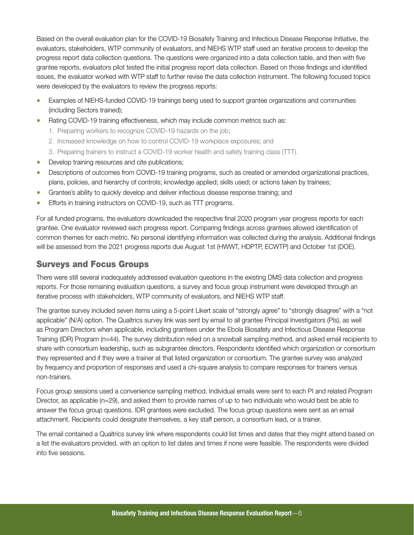<span id="page-7-0"></span>Based on the overall evaluation plan for the COVID-19 Biosafety Training and Infectious Disease Response Initiative, the evaluators, stakeholders, WTP community of evaluators, and NIEHS WTP staff used an iterative process to develop the progress report data collection questions. The questions were organized into a data collection table, and then with five grantee reports, evaluators pilot tested the initial progress report data collection. Based on those findings and identified issues, the evaluator worked with WTP staff to further revise the data collection instrument. The following focused topics were developed by the evaluators to review the progress reports:

- Examples of NIEHS-funded COVID-19 trainings being used to support grantee organizations and communities (including Sectors trained);
- Rating COVID-19 training effectiveness, which may include common metrics such as:
	- 1. Preparing workers to recognize COVID-19 hazards on the job;
	- 2. Increased knowledge on how to control COVID-19 workplace exposures; and
	- 3. Preparing trainers to instruct a COVID-19 worker health and safety training class (TTT).
- Develop training resources and cite publications;
- Descriptions of outcomes from COVID-19 training programs, such as created or amended organizational practices, plans, policies, and hierarchy of controls; knowledge applied; skills used; or actions taken by trainees;
- Grantee's ability to quickly develop and deliver infectious disease response training; and
- Efforts in training instructors on COVID-19, such as TTT programs.

For all funded programs, the evaluators downloaded the respective final 2020 program year progress reports for each grantee. One evaluator reviewed each progress report. Comparing findings across grantees allowed identification of common themes for each metric. No personal identifying information was collected during the analysis. Additional findings will be assessed from the 2021 progress reports due August 1st (HWWT, HDPTP, ECWTP) and October 1st (DOE).

### Surveys and Focus Groups

There were still several inadequately addressed evaluation questions in the existing DMS data collection and progress reports. For those remaining evaluation questions, a survey and focus group instrument were developed through an iterative process with stakeholders, WTP community of evaluators, and NIEHS WTP staff.

The grantee survey included seven items using a 5-point Likert scale of "strongly agree" to "strongly disagree" with a "not applicable" (N/A) option. The Qualtrics survey link was sent by email to all grantee Principal Investigators (PIs), as well as Program Directors when applicable, including grantees under the Ebola Biosafety and Infectious Disease Response Training (IDR) Program (n=44). The survey distribution relied on a snowball sampling method, and asked email recipients to share with consortium leadership, such as subgrantee directors. Respondents identified which organization or consortium they represented and if they were a trainer at that listed organization or consortium. The grantee survey was analyzed by frequency and proportion of responses and used a chi-square analysis to compare responses for trainers versus non-trainers.

Focus group sessions used a convenience sampling method. Individual emails were sent to each PI and related Program Director, as applicable (n=29), and asked them to provide names of up to two individuals who would best be able to answer the focus group questions. IDR grantees were excluded. The focus group questions were sent as an email attachment. Recipients could designate themselves, a key staff person, a consortium lead, or a trainer.

The email contained a Qualtrics survey link where respondents could list times and dates that they might attend based on a list the evaluators provided, with an option to list dates and times if none were feasible. The respondents were divided into five sessions.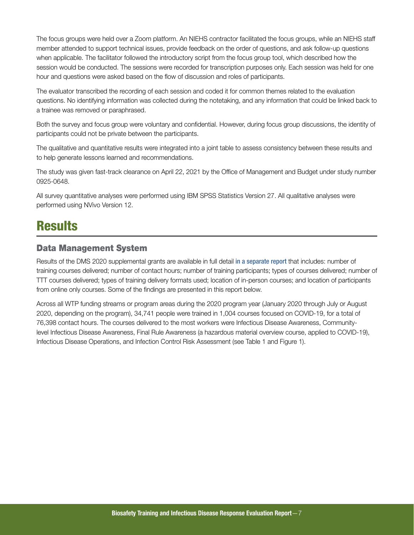<span id="page-8-0"></span>The focus groups were held over a Zoom platform. An NIEHS contractor facilitated the focus groups, while an NIEHS staff member attended to support technical issues, provide feedback on the order of questions, and ask follow-up questions when applicable. The facilitator followed the introductory script from the focus group tool, which described how the session would be conducted. The sessions were recorded for transcription purposes only. Each session was held for one hour and questions were asked based on the flow of discussion and roles of participants.

The evaluator transcribed the recording of each session and coded it for common themes related to the evaluation questions. No identifying information was collected during the notetaking, and any information that could be linked back to a trainee was removed or paraphrased.

Both the survey and focus group were voluntary and confidential. However, during focus group discussions, the identity of participants could not be private between the participants.

The qualitative and quantitative results were integrated into a joint table to assess consistency between these results and to help generate lessons learned and recommendations.

The study was given fast-track clearance on April 22, 2021 by the Office of Management and Budget under study number 0925-0648.

All survey quantitative analyses were performed using IBM SPSS Statistics Version 27. All qualitative analyses were performed using NVivo Version 12.

## **Results**

### Data Management System

Results of the DMS 2020 supplemental grants are available in full detail [in a separate report](https://www.niehs.nih.gov/careers/assets/docs/wtp_report_coronavirus_results_2020.pdf) that includes: number of training courses delivered; number of contact hours; number of training participants; types of courses delivered; number of TTT courses delivered; types of training delivery formats used; location of in-person courses; and location of participants from online only courses. Some of the findings are presented in this report below.

Across all WTP funding streams or program areas during the 2020 program year (January 2020 through July or August 2020, depending on the program), 34,741 people were trained in 1,004 courses focused on COVID-19, for a total of 76,398 contact hours. The courses delivered to the most workers were Infectious Disease Awareness, Communitylevel Infectious Disease Awareness, Final Rule Awareness (a hazardous material overview course, applied to COVID-19), Infectious Disease Operations, and Infection Control Risk Assessment (see Table 1 and Figure 1).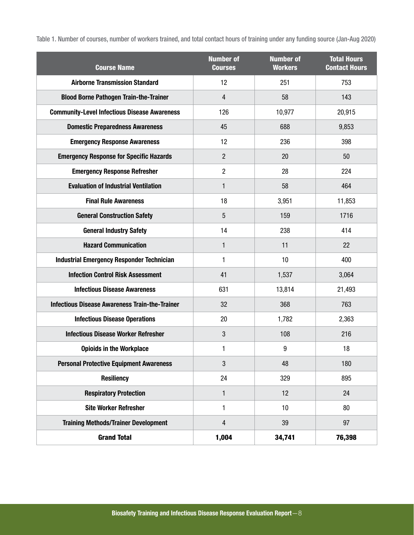Table 1. Number of courses, number of workers trained, and total contact hours of training under any funding source (Jan-Aug 2020)

| <b>Course Name</b>                                    | <b>Number of</b><br><b>Courses</b> | <b>Number of</b><br><b>Workers</b> | <b>Total Hours</b><br><b>Contact Hours</b> |
|-------------------------------------------------------|------------------------------------|------------------------------------|--------------------------------------------|
| <b>Airborne Transmission Standard</b>                 | 12                                 | 251                                | 753                                        |
| <b>Blood Borne Pathogen Train-the-Trainer</b>         | 4                                  | 58                                 | 143                                        |
| <b>Community-Level Infectious Disease Awareness</b>   | 126                                | 10,977                             | 20,915                                     |
| <b>Domestic Preparedness Awareness</b>                | 45                                 | 688                                | 9,853                                      |
| <b>Emergency Response Awareness</b>                   | 12                                 | 236                                | 398                                        |
| <b>Emergency Response for Specific Hazards</b>        | $\overline{2}$                     | 20                                 | 50                                         |
| <b>Emergency Response Refresher</b>                   | 2                                  | 28                                 | 224                                        |
| <b>Evaluation of Industrial Ventilation</b>           | 1                                  | 58                                 | 464                                        |
| <b>Final Rule Awareness</b>                           | 18                                 | 3,951                              | 11,853                                     |
| <b>General Construction Safety</b>                    | 5                                  | 159                                | 1716                                       |
| <b>General Industry Safety</b>                        | 14                                 | 238                                | 414                                        |
| <b>Hazard Communication</b>                           | 1                                  | 11                                 | 22                                         |
| <b>Industrial Emergency Responder Technician</b>      | 1                                  | 10                                 | 400                                        |
| <b>Infection Control Risk Assessment</b>              | 41                                 | 1,537                              | 3,064                                      |
| <b>Infectious Disease Awareness</b>                   | 631                                | 13,814                             | 21,493                                     |
| <b>Infectious Disease Awareness Train-the-Trainer</b> | 32                                 | 368                                | 763                                        |
| <b>Infectious Disease Operations</b>                  | 20                                 | 1,782                              | 2,363                                      |
| <b>Infectious Disease Worker Refresher</b>            | 3                                  | 108                                | 216                                        |
| <b>Opioids in the Workplace</b>                       | 1                                  | 9                                  | 18                                         |
| <b>Personal Protective Equipment Awareness</b>        | 3                                  | 48                                 | 180                                        |
| <b>Resiliency</b>                                     | 24                                 | 329                                | 895                                        |
| <b>Respiratory Protection</b>                         | 1                                  | 12                                 | 24                                         |
| <b>Site Worker Refresher</b>                          | 1                                  | 10                                 | 80                                         |
| <b>Training Methods/Trainer Development</b>           | $\overline{\mathbf{4}}$            | 39                                 | 97                                         |
| <b>Grand Total</b>                                    | 1,004                              | 34,741                             | 76,398                                     |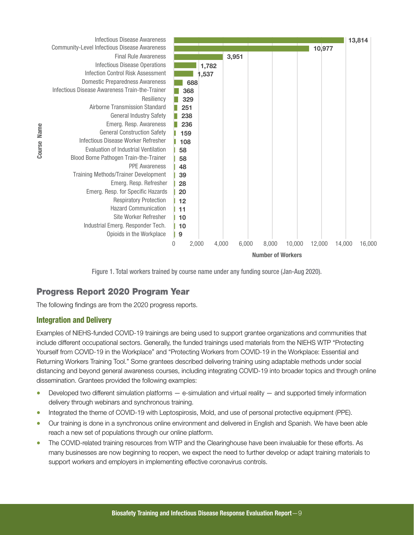<span id="page-10-0"></span>



### Progress Report 2020 Program Year

The following findings are from the 2020 progress reports.

### Integration and Delivery

Examples of NIEHS-funded COVID-19 trainings are being used to support grantee organizations and communities that include different occupational sectors. Generally, the funded trainings used materials from the NIEHS WTP "Protecting Yourself from COVID-19 in the Workplace" and "Protecting Workers from COVID-19 in the Workplace: Essential and Returning Workers Training Tool." Some grantees described delivering training using adaptable methods under social distancing and beyond general awareness courses, including integrating COVID-19 into broader topics and through online dissemination. Grantees provided the following examples:

- Developed two different simulation platforms e-simulation and virtual reality and supported timely information delivery through webinars and synchronous training.
- Integrated the theme of COVID-19 with Leptospirosis, Mold, and use of personal protective equipment (PPE).
- Our training is done in a synchronous online environment and delivered in English and Spanish. We have been able reach a new set of populations through our online platform.
- The COVID-related training resources from WTP and the Clearinghouse have been invaluable for these efforts. As many businesses are now beginning to reopen, we expect the need to further develop or adapt training materials to support workers and employers in implementing effective coronavirus controls.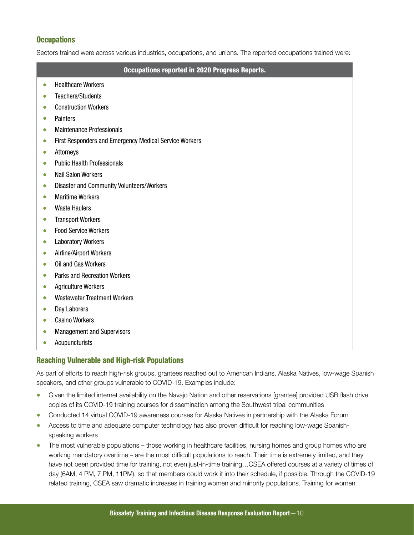### **Occupations**

Sectors trained were across various industries, occupations, and unions. The reported occupations trained were:

#### Occupations reported in 2020 Progress Reports.

- Healthcare Workers
- Teachers/Students
- Construction Workers
- Painters
- Maintenance Professionals
- First Responders and Emergency Medical Service Workers
- Attorneys
- Public Health Professionals
- Nail Salon Workers
- Disaster and Community Volunteers/Workers
- Maritime Workers
- Waste Haulers
- Transport Workers
- Food Service Workers
- Laboratory Workers
- Airline/Airport Workers
- Oil and Gas Workers
- Parks and Recreation Workers
- Agriculture Workers
- Wastewater Treatment Workers
- Day Laborers
- Casino Workers
- Management and Supervisors
- Acupuncturists

#### Reaching Vulnerable and High-risk Populations

As part of efforts to reach high-risk groups, grantees reached out to American Indians, Alaska Natives, low-wage Spanish speakers, and other groups vulnerable to COVID-19. Examples include:

- Given the limited internet availability on the Navajo Nation and other reservations [grantee] provided USB flash drive copies of its COVID-19 training courses for dissemination among the Southwest tribal communities
- Conducted 14 virtual COVID-19 awareness courses for Alaska Natives in partnership with the Alaska Forum
- Access to time and adequate computer technology has also proven difficult for reaching low-wage Spanishspeaking workers
- The most vulnerable populations those working in healthcare facilities, nursing homes and group homes who are working mandatory overtime – are the most difficult populations to reach. Their time is extremely limited, and they have not been provided time for training, not even just-in-time training…CSEA offered courses at a variety of times of day (6AM, 4 PM, 7 PM, 11PM), so that members could work it into their schedule, if possible. Through the COVID-19 related training, CSEA saw dramatic increases in training women and minority populations. Training for women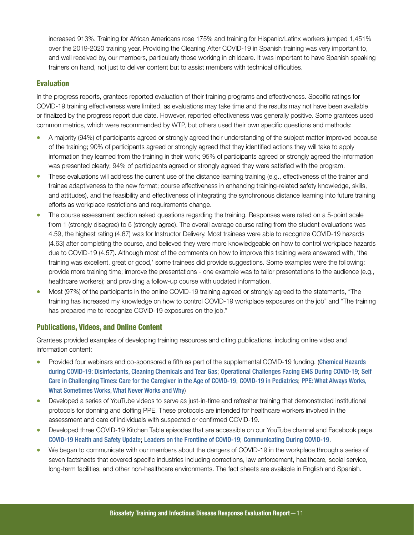increased 913%. Training for African Americans rose 175% and training for Hispanic/Latinx workers jumped 1,451% over the 2019-2020 training year. Providing the Cleaning After COVID-19 in Spanish training was very important to, and well received by, our members, particularly those working in childcare. It was important to have Spanish speaking trainers on hand, not just to deliver content but to assist members with technical difficulties.

### Evaluation

In the progress reports, grantees reported evaluation of their training programs and effectiveness. Specific ratings for COVID-19 training effectiveness were limited, as evaluations may take time and the results may not have been available or finalized by the progress report due date. However, reported effectiveness was generally positive. Some grantees used common metrics, which were recommended by WTP, but others used their own specific questions and methods:

- A majority (94%) of participants agreed or strongly agreed their understanding of the subject matter improved because of the training; 90% of participants agreed or strongly agreed that they identified actions they will take to apply information they learned from the training in their work; 95% of participants agreed or strongly agreed the information was presented clearly; 94% of participants agreed or strongly agreed they were satisfied with the program.
- These evaluations will address the current use of the distance learning training (e.g., effectiveness of the trainer and trainee adaptiveness to the new format; course effectiveness in enhancing training-related safety knowledge, skills, and attitudes), and the feasibility and effectiveness of integrating the synchronous distance learning into future training efforts as workplace restrictions and requirements change.
- The course assessment section asked questions regarding the training. Responses were rated on a 5-point scale from 1 (strongly disagree) to 5 (strongly agree). The overall average course rating from the student evaluations was 4.59, the highest rating (4.67) was for Instructor Delivery. Most trainees were able to recognize COVID-19 hazards (4.63) after completing the course, and believed they were more knowledgeable on how to control workplace hazards due to COVID-19 (4.57). Although most of the comments on how to improve this training were answered with, 'the training was excellent, great or good,' some trainees did provide suggestions. Some examples were the following: provide more training time; improve the presentations - one example was to tailor presentations to the audience (e.g., healthcare workers); and providing a follow-up course with updated information.
- Most (97%) of the participants in the online COVID-19 training agreed or strongly agreed to the statements, "The training has increased my knowledge on how to control COVID-19 workplace exposures on the job" and "The training has prepared me to recognize COVID-19 exposures on the job."

#### Publications, Videos, and Online Content

Grantees provided examples of developing training resources and citing publications, including online video and information content:

- Provided four webinars and co-sponsored a fifth as part of the supplemental COVID-19 funding. ([Chemical Hazards](http://www.r4phtc.org/chemical-hazards-during-covid-19-disinfectants-cleaning-chemicals-tear-gas/)  [during COVID-19: Disinfectants, Cleaning Chemicals and Tear Gas](http://www.r4phtc.org/chemical-hazards-during-covid-19-disinfectants-cleaning-chemicals-tear-gas/); [Operational Challenges Facing EMS During COVID-19](http://www.r4phtc.org/operational-challenges-for-ems-during-covid-19/); [Self](http://www.alabamapublichealth.gov/ALPHTN/ondemand/2020/07-22.html)  [Care in Challenging Times: Care for the Caregiver in the Age of COVID-19](http://www.alabamapublichealth.gov/ALPHTN/ondemand/2020/07-22.html); [COVID-19 in Pediatrics](http://www.r4phtc.org/covid-19-in-pediatrics/); [PPE: What Always Works,](http://www.r4phtc.org/ppe-what-always-works-what-sometimes-works-what-never-works-and-why/)  [What Sometimes Works, What Never Works and Why](http://www.r4phtc.org/ppe-what-always-works-what-sometimes-works-what-never-works-and-why/))
- Developed a series of YouTube videos to serve as just-in-time and refresher training that demonstrated institutional protocols for donning and doffing PPE. These protocols are intended for healthcare workers involved in the assessment and care of individuals with suspected or confirmed COVID-19.
- Developed three COVID-19 Kitchen Table episodes that are accessible on our YouTube channel and Facebook page. [COVID-19 Health and Safety Update](https://www.youtube.com/watch?app=desktop&v=thgAY_GyoVc); [Leaders on the Frontline of COVID-19](https://www.youtube.com/watch?app=desktop&v=n_-HU3B-GRA); [Communicating During COVID-19](https://www.youtube.com/watch?app=desktop&v=RHwuoKjTLXs).
- We began to communicate with our members about the dangers of COVID-19 in the workplace through a series of seven factsheets that covered specific industries including corrections, law enforcement, healthcare, social service, long-term facilities, and other non-healthcare environments. The fact sheets are available in English and Spanish.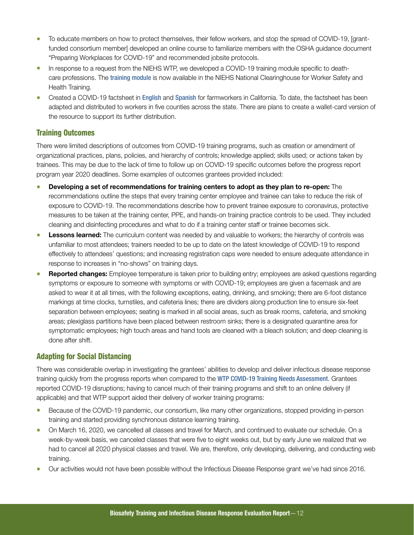- To educate members on how to protect themselves, their fellow workers, and stop the spread of COVID-19, [grantfunded consortium member] developed an online course to familiarize members with the OSHA guidance document "Preparing Workplaces for COVID-19" and recommended jobsite protocols.
- In response to a request from the NIEHS WTP, we developed a COVID-19 training module specific to deathcare professions. The [training module](https://tools.niehs.nih.gov/wetp/public/hasl_get_blob.cfm?ID=12021) is now available in the NIEHS National Clearinghouse for Worker Safety and Health Training.
- Created a COVID-19 factsheet in [English](https://losh.ucla.edu/wp-content/uploads/sites/37/2020/04/ENGLISH-UCLA-LOSH-Farmworkers-COVID-Infographic.pdf) and [Spanish](https://losh.ucla.edu/wp-content/uploads/sites/37/2020/04/SPANISH-UCLA-LOSH-Farmworkers-COVID-Infographic.pdf) for farmworkers in California. To date, the factsheet has been adapted and distributed to workers in five counties across the state. There are plans to create a wallet-card version of the resource to support its further distribution.

#### Training Outcomes

There were limited descriptions of outcomes from COVID-19 training programs, such as creation or amendment of organizational practices, plans, policies, and hierarchy of controls; knowledge applied; skills used; or actions taken by trainees. This may be due to the lack of time to follow up on COVID-19 specific outcomes before the progress report program year 2020 deadlines. Some examples of outcomes grantees provided included:

- Developing a set of recommendations for training centers to adopt as they plan to re-open: The recommendations outline the steps that every training center employee and trainee can take to reduce the risk of exposure to COVID-19. The recommendations describe how to prevent trainee exposure to coronavirus, protective measures to be taken at the training center, PPE, and hands-on training practice controls to be used. They included cleaning and disinfecting procedures and what to do if a training center staff or trainee becomes sick.
- **Lessons learned:** The curriculum content was needed by and valuable to workers; the hierarchy of controls was unfamiliar to most attendees; trainers needed to be up to date on the latest knowledge of COVID-19 to respond effectively to attendees' questions; and increasing registration caps were needed to ensure adequate attendance in response to increases in "no-shows" on training days.
- Reported changes: Employee temperature is taken prior to building entry; employees are asked questions regarding symptoms or exposure to someone with symptoms or with COVID-19; employees are given a facemask and are asked to wear it at all times, with the following exceptions, eating, drinking, and smoking; there are 6-foot distance markings at time clocks, turnstiles, and cafeteria lines; there are dividers along production line to ensure six-feet separation between employees; seating is marked in all social areas, such as break rooms, cafeteria, and smoking areas; plexiglass partitions have been placed between restroom sinks; there is a designated quarantine area for symptomatic employees; high touch areas and hand tools are cleaned with a bleach solution; and deep cleaning is done after shift.

### Adapting for Social Distancing

There was considerable overlap in investigating the grantees' abilities to develop and deliver infectious disease response training quickly from the progress reports when compared to the [WTP COVID-19 Training Needs Assessment](https://tools.niehs.nih.gov/wetp/public/hasl_get_blob.cfm?ID=12361). Grantees reported COVID-19 disruptions; having to cancel much of their training programs and shift to an online delivery (if applicable) and that WTP support aided their delivery of worker training programs:

- Because of the COVID-19 pandemic, our consortium, like many other organizations, stopped providing in-person training and started providing synchronous distance learning training.
- On March 16, 2020, we cancelled all classes and travel for March, and continued to evaluate our schedule. On a week-by-week basis, we canceled classes that were five to eight weeks out, but by early June we realized that we had to cancel all 2020 physical classes and travel. We are, therefore, only developing, delivering, and conducting web training.
- Our activities would not have been possible without the Infectious Disease Response grant we've had since 2016.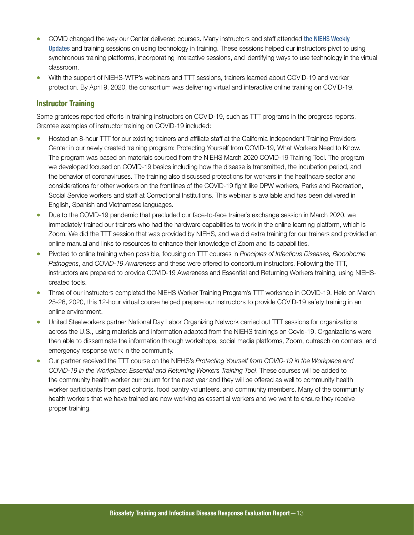- COVID changed the way our Center delivered courses. Many instructors and staff attended the NIEHS Weekly [Updates](https://tools.niehs.nih.gov/wetp/index.cfm?id=2460) and training sessions on using technology in training. These sessions helped our instructors pivot to using synchronous training platforms, incorporating interactive sessions, and identifying ways to use technology in the virtual classroom.
- With the support of NIEHS-WTP's webinars and TTT sessions, trainers learned about COVID-19 and worker protection. By April 9, 2020, the consortium was delivering virtual and interactive online training on COVID-19.

### Instructor Training

Some grantees reported efforts in training instructors on COVID-19, such as TTT programs in the progress reports. Grantee examples of instructor training on COVID-19 included:

- Hosted an 8-hour TTT for our existing trainers and affiliate staff at the California Independent Training Providers Center in our newly created training program: Protecting Yourself from COVID-19, What Workers Need to Know. The program was based on materials sourced from the NIEHS March 2020 COVID-19 Training Tool. The program we developed focused on COVID-19 basics including how the disease is transmitted, the incubation period, and the behavior of coronaviruses. The training also discussed protections for workers in the healthcare sector and considerations for other workers on the frontlines of the COVID-19 fight like DPW workers, Parks and Recreation, Social Service workers and staff at Correctional Institutions. This webinar is available and has been delivered in English, Spanish and Vietnamese languages.
- Due to the COVID-19 pandemic that precluded our face-to-face trainer's exchange session in March 2020, we immediately trained our trainers who had the hardware capabilities to work in the online learning platform, which is Zoom. We did the TTT session that was provided by NIEHS, and we did extra training for our trainers and provided an online manual and links to resources to enhance their knowledge of Zoom and its capabilities.
- Pivoted to online training when possible, focusing on TTT courses in *Principles of Infectious Diseases, Bloodborne Pathogens*, and *COVID-19 Awareness* and these were offered to consortium instructors. Following the TTT, instructors are prepared to provide COVID-19 Awareness and Essential and Returning Workers training, using NIEHScreated tools.
- Three of our instructors completed the NIEHS Worker Training Program's TTT workshop in COVID-19. Held on March 25-26, 2020, this 12-hour virtual course helped prepare our instructors to provide COVID-19 safety training in an online environment.
- United Steelworkers partner National Day Labor Organizing Network carried out TTT sessions for organizations across the U.S., using materials and information adapted from the NIEHS trainings on Covid-19. Organizations were then able to disseminate the information through workshops, social media platforms, Zoom, outreach on corners, and emergency response work in the community.
- Our partner received the TTT course on the NIEHS's *Protecting Yourself from COVID-19 in the Workplace and COVID-19 in the Workplace: Essential and Returning Workers Training Tool*. These courses will be added to the community health worker curriculum for the next year and they will be offered as well to community health worker participants from past cohorts, food pantry volunteers, and community members. Many of the community health workers that we have trained are now working as essential workers and we want to ensure they receive proper training.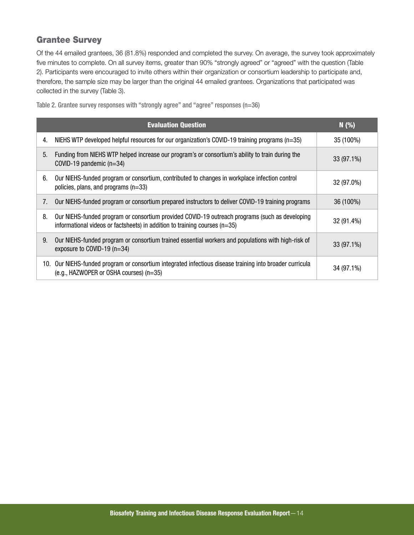### <span id="page-15-0"></span>Grantee Survey

Of the 44 emailed grantees, 36 (81.8%) responded and completed the survey. On average, the survey took approximately five minutes to complete. On all survey items, greater than 90% "strongly agreed" or "agreed" with the question (Table 2). Participants were encouraged to invite others within their organization or consortium leadership to participate and, therefore, the sample size may be larger than the original 44 emailed grantees. Organizations that participated was collected in the survey (Table 3).

|    | <b>Evaluation Question</b>                                                                                                                                                     | N(% )      |
|----|--------------------------------------------------------------------------------------------------------------------------------------------------------------------------------|------------|
| 4. | NIEHS WTP developed helpful resources for our organization's COVID-19 training programs ( $n=35$ )                                                                             | 35 (100%)  |
| 5. | Funding from NIEHS WTP helped increase our program's or consortium's ability to train during the<br>COVID-19 pandemic $(n=34)$                                                 | 33 (97.1%) |
| 6. | Our NIEHS-funded program or consortium, contributed to changes in workplace infection control<br>policies, plans, and programs $(n=33)$                                        | 32 (97.0%) |
| 7. | Our NIEHS-funded program or consortium prepared instructors to deliver COVID-19 training programs                                                                              | 36 (100%)  |
| 8. | Our NIEHS-funded program or consortium provided COVID-19 outreach programs (such as developing<br>informational videos or factsheets) in addition to training courses $(n=35)$ | 32 (91.4%) |
| 9. | Our NIEHS-funded program or consortium trained essential workers and populations with high-risk of<br>exposure to COVID-19 (n=34)                                              | 33 (97.1%) |
|    | 10. Our NIEHS-funded program or consortium integrated infectious disease training into broader curricula<br>(e.g., HAZWOPER or OSHA courses) (n=35)                            | 34 (97.1%) |

Table 2. Grantee survey responses with "strongly agree" and "agree" responses (n=36)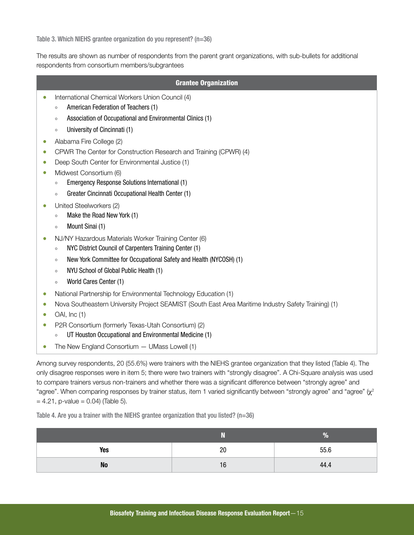Table 3. Which NIEHS grantee organization do you represent? (n=36)

The results are shown as number of respondents from the parent grant organizations, with sub-bullets for additional respondents from consortium members/subgrantees

| <b>Grantee Organization</b>                                                                             |  |
|---------------------------------------------------------------------------------------------------------|--|
| International Chemical Workers Union Council (4)<br>0<br>American Federation of Teachers (1)<br>$\circ$ |  |
| Association of Occupational and Environmental Clinics (1)<br>$\circ$                                    |  |
| University of Cincinnati (1)<br>$\circ$                                                                 |  |
| Alabama Fire College (2)<br>$\bullet$                                                                   |  |
| CPWR The Center for Construction Research and Training (CPWR) (4)<br>0                                  |  |
| Deep South Center for Environmental Justice (1)<br>0                                                    |  |
| Midwest Consortium (6)<br>0                                                                             |  |
| Emergency Response Solutions International (1)<br>$\circ$                                               |  |
| Greater Cincinnati Occupational Health Center (1)<br>$\circ$                                            |  |
| United Steelworkers (2)                                                                                 |  |
| Make the Road New York (1)<br>$\circ$                                                                   |  |
| Mount Sinai (1)<br>$\circ$                                                                              |  |
| NJ/NY Hazardous Materials Worker Training Center (6)<br>$\bullet$                                       |  |
| NYC District Council of Carpenters Training Center (1)<br>$\circ$                                       |  |
| New York Committee for Occupational Safety and Health (NYCOSH) (1)<br>$\circ$                           |  |
| NYU School of Global Public Health (1)<br>$\circ$                                                       |  |
| World Cares Center (1)<br>$\circ$                                                                       |  |
| National Partnership for Environmental Technology Education (1)                                         |  |
| Nova Southeastern University Project SEAMIST (South East Area Maritime Industry Safety Training) (1)    |  |
| OAI, Inc (1)                                                                                            |  |
| P2R Consortium (formerly Texas-Utah Consortium) (2)                                                     |  |
| UT Houston Occupational and Environmental Medicine (1)<br>$\circ$                                       |  |
| The New England Consortium $-$ UMass Lowell (1)                                                         |  |

Among survey respondents, 20 (55.6%) were trainers with the NIEHS grantee organization that they listed (Table 4). The only disagree responses were in item 5; there were two trainers with "strongly disagree". A Chi-Square analysis was used to compare trainers versus non-trainers and whether there was a significant difference between "strongly agree" and "agree". When comparing responses by trainer status, item 1 varied significantly between "strongly agree" and "agree" ( $\chi^2$  $= 4.21$ , p-value  $= 0.04$ ) (Table 5).

Table 4. Are you a trainer with the NIEHS grantee organization that you listed? (n=36)

|           |    | $\%$ |
|-----------|----|------|
| Yes       | 20 | 55.6 |
| <b>No</b> | 16 | 44.4 |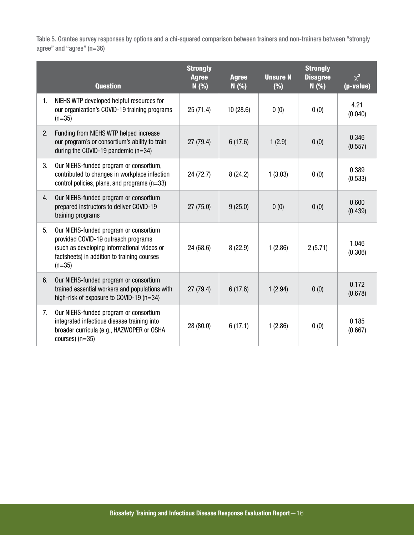Table 5. Grantee survey responses by options and a chi-squared comparison between trainers and non-trainers between "strongly agree" and "agree" (n=36)

|    | <b>Question</b>                                                                                                                                                                         | <b>Strongly</b><br><b>Agree</b><br>N(%) | <b>Agree</b><br>N(% ) | <b>Unsure N</b><br>(%) | <b>Strongly</b><br><b>Disagree</b><br>N(% ) | $\chi^2$<br>(p-value) |
|----|-----------------------------------------------------------------------------------------------------------------------------------------------------------------------------------------|-----------------------------------------|-----------------------|------------------------|---------------------------------------------|-----------------------|
| 1. | NIEHS WTP developed helpful resources for<br>our organization's COVID-19 training programs<br>$(n=35)$                                                                                  | 25(71.4)                                | 10(28.6)              | 0(0)                   | 0(0)                                        | 4.21<br>(0.040)       |
| 2. | Funding from NIEHS WTP helped increase<br>our program's or consortium's ability to train<br>during the COVID-19 pandemic $(n=34)$                                                       | 27(79.4)                                | 6(17.6)               | 1(2.9)                 | 0(0)                                        | 0.346<br>(0.557)      |
| 3. | Our NIEHS-funded program or consortium,<br>contributed to changes in workplace infection<br>control policies, plans, and programs (n=33)                                                | 24(72.7)                                | 8(24.2)               | 1(3.03)                | 0(0)                                        | 0.389<br>(0.533)      |
| 4. | Our NIEHS-funded program or consortium<br>prepared instructors to deliver COVID-19<br>training programs                                                                                 | 27(75.0)                                | 9(25.0)               | 0(0)                   | 0(0)                                        | 0.600<br>(0.439)      |
| 5. | Our NIEHS-funded program or consortium<br>provided COVID-19 outreach programs<br>(such as developing informational videos or<br>factsheets) in addition to training courses<br>$(n=35)$ | 24 (68.6)                               | 8(22.9)               | 1(2.86)                | 2(5.71)                                     | 1.046<br>(0.306)      |
| 6. | Our NIEHS-funded program or consortium<br>trained essential workers and populations with<br>high-risk of exposure to COVID-19 $(n=34)$                                                  | 27 (79.4)                               | 6(17.6)               | 1(2.94)                | 0(0)                                        | 0.172<br>(0.678)      |
| 7. | Our NIEHS-funded program or consortium<br>integrated infectious disease training into<br>broader curricula (e.g., HAZWOPER or OSHA<br>courses) $(n=35)$                                 | 28 (80.0)                               | 6(17.1)               | 1(2.86)                | 0(0)                                        | 0.185<br>(0.667)      |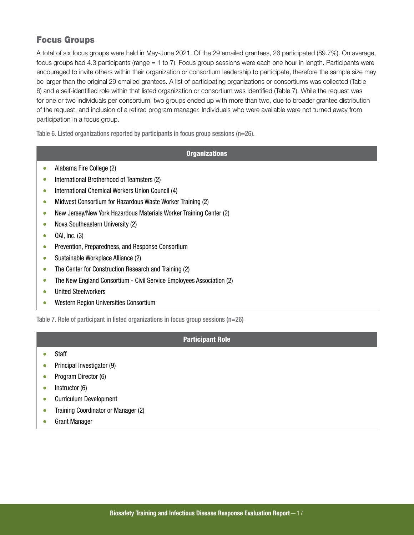### <span id="page-18-0"></span>Focus Groups

A total of six focus groups were held in May-June 2021. Of the 29 emailed grantees, 26 participated (89.7%). On average, focus groups had 4.3 participants (range = 1 to 7). Focus group sessions were each one hour in length. Participants were encouraged to invite others within their organization or consortium leadership to participate, therefore the sample size may be larger than the original 29 emailed grantees. A list of participating organizations or consortiums was collected (Table 6) and a self-identified role within that listed organization or consortium was identified (Table 7). While the request was for one or two individuals per consortium, two groups ended up with more than two, due to broader grantee distribution of the request, and inclusion of a retired program manager. Individuals who were available were not turned away from participation in a focus group.

Table 6. Listed organizations reported by participants in focus group sessions (n=26).

#### **Organizations**

- Alabama Fire College (2)
- International Brotherhood of Teamsters (2)
- International Chemical Workers Union Council (4)
- Midwest Consortium for Hazardous Waste Worker Training (2)
- New Jersey/New York Hazardous Materials Worker Training Center (2)
- Nova Southeastern University (2)
- $\bullet$  OAI, Inc. (3)
- Prevention, Preparedness, and Response Consortium
- Sustainable Workplace Alliance (2)
- The Center for Construction Research and Training (2)
- The New England Consortium Civil Service Employees Association (2)
- United Steelworkers
- Western Region Universities Consortium

Table 7. Role of participant in listed organizations in focus group sessions (n=26)

#### Participant Role

- Staff
- Principal Investigator (9)
- Program Director (6)
- Instructor (6)
- Curriculum Development
- Training Coordinator or Manager (2)
- Grant Manager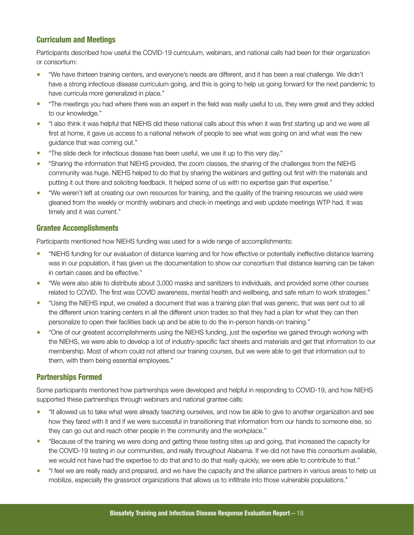### Curriculum and Meetings

Participants described how useful the COVID-19 curriculum, webinars, and national calls had been for their organization or consortium:

- "We have thirteen training centers, and everyone's needs are different, and it has been a real challenge. We didn't have a strong infectious disease curriculum going, and this is going to help us going forward for the next pandemic to have curricula more generalized in place."
- "The meetings you had where there was an expert in the field was really useful to us, they were great and they added to our knowledge."
- "I also think it was helpful that NIEHS did these national calls about this when it was first starting up and we were all first at home, it gave us access to a national network of people to see what was going on and what was the new guidance that was coming out."
- "The slide deck for infectious disease has been useful, we use it up to this very day."
- "Sharing the information that NIEHS provided, the zoom classes, the sharing of the challenges from the NIEHS community was huge. NIEHS helped to do that by sharing the webinars and getting out first with the materials and putting it out there and soliciting feedback. It helped some of us with no expertise gain that expertise."
- "We weren't left at creating our own resources for training, and the quality of the training resources we used were gleaned from the weekly or monthly webinars and check-in meetings and web update meetings WTP had. It was timely and it was current."

### Grantee Accomplishments

Participants mentioned how NIEHS funding was used for a wide range of accomplishments:

- "NIEHS funding for our evaluation of distance learning and for how effective or potentially ineffective distance learning was in our population, it has given us the documentation to show our consortium that distance learning can be taken in certain cases and be effective."
- "We were also able to distribute about 3,000 masks and sanitizers to individuals, and provided some other courses related to COVID. The first was COVID awareness, mental health and wellbeing, and safe return to work strategies."
- "Using the NIEHS input, we created a document that was a training plan that was generic, that was sent out to all the different union training centers in all the different union trades so that they had a plan for what they can then personalize to open their facilities back up and be able to do the in-person hands-on training."
- "One of our greatest accomplishments using the NIEHS funding, just the expertise we gained through working with the NIEHS, we were able to develop a lot of industry-specific fact sheets and materials and get that information to our membership. Most of whom could not attend our training courses, but we were able to get that information out to them, with them being essential employees."

### Partnerships Formed

Some participants mentioned how partnerships were developed and helpful in responding to COVID-19, and how NIEHS supported these partnerships through webinars and national grantee calls:

- "It allowed us to take what were already teaching ourselves, and now be able to give to another organization and see how they fared with it and if we were successful in transitioning that information from our hands to someone else, so they can go out and reach other people in the community and the workplace."
- "Because of the training we were doing and getting these testing sites up and going, that increased the capacity for the COVID-19 testing in our communities, and really throughout Alabama. If we did not have this consortium available, we would not have had the expertise to do that and to do that really quickly, we were able to contribute to that."
- "I feel we are really ready and prepared, and we have the capacity and the alliance partners in various areas to help us mobilize, especially the grassroot organizations that allows us to infiltrate into those vulnerable populations."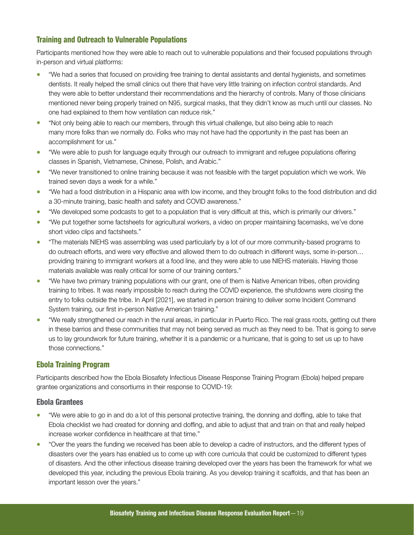### Training and Outreach to Vulnerable Populations

Participants mentioned how they were able to reach out to vulnerable populations and their focused populations through in-person and virtual platforms:

- "We had a series that focused on providing free training to dental assistants and dental hygienists, and sometimes dentists. It really helped the small clinics out there that have very little training on infection control standards. And they were able to better understand their recommendations and the hierarchy of controls. Many of those clinicians mentioned never being properly trained on N95, surgical masks, that they didn't know as much until our classes. No one had explained to them how ventilation can reduce risk."
- "Not only being able to reach our members, through this virtual challenge, but also being able to reach many more folks than we normally do. Folks who may not have had the opportunity in the past has been an accomplishment for us."
- "We were able to push for language equity through our outreach to immigrant and refugee populations offering classes in Spanish, Vietnamese, Chinese, Polish, and Arabic."
- "We never transitioned to online training because it was not feasible with the target population which we work. We trained seven days a week for a while."
- "We had a food distribution in a Hispanic area with low income, and they brought folks to the food distribution and did a 30-minute training, basic health and safety and COVID awareness."
- "We developed some podcasts to get to a population that is very difficult at this, which is primarily our drivers."
- "We put together some factsheets for agricultural workers, a video on proper maintaining facemasks, we've done short video clips and factsheets."
- "The materials NIEHS was assembling was used particularly by a lot of our more community-based programs to do outreach efforts, and were very effective and allowed them to do outreach in different ways, some in-person… providing training to immigrant workers at a food line, and they were able to use NIEHS materials. Having those materials available was really critical for some of our training centers."
- "We have two primary training populations with our grant, one of them is Native American tribes, often providing training to tribes. It was nearly impossible to reach during the COVID experience, the shutdowns were closing the entry to folks outside the tribe. In April [2021], we started in person training to deliver some Incident Command System training, our first in-person Native American training."
- "We really strengthened our reach in the rural areas, in particular in Puerto Rico. The real grass roots, getting out there in these barrios and these communities that may not being served as much as they need to be. That is going to serve us to lay groundwork for future training, whether it is a pandemic or a hurricane, that is going to set us up to have those connections."

### Ebola Training Program

Participants described how the Ebola Biosafety Infectious Disease Response Training Program (Ebola) helped prepare grantee organizations and consortiums in their response to COVID-19:

#### Ebola Grantees

- "We were able to go in and do a lot of this personal protective training, the donning and doffing, able to take that Ebola checklist we had created for donning and doffing, and able to adjust that and train on that and really helped increase worker confidence in healthcare at that time."
- "Over the years the funding we received has been able to develop a cadre of instructors, and the different types of disasters over the years has enabled us to come up with core curricula that could be customized to different types of disasters. And the other infectious disease training developed over the years has been the framework for what we developed this year, including the previous Ebola training. As you develop training it scaffolds, and that has been an important lesson over the years."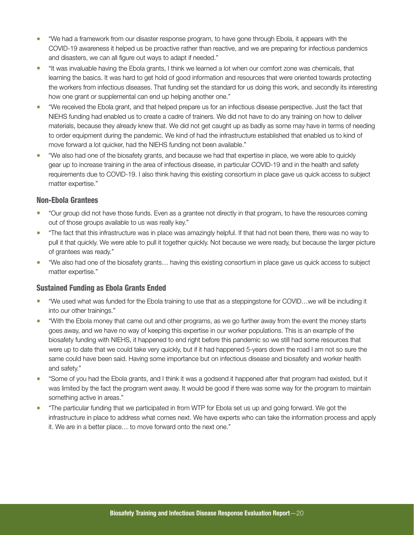- "We had a framework from our disaster response program, to have gone through Ebola, it appears with the COVID-19 awareness it helped us be proactive rather than reactive, and we are preparing for infectious pandemics and disasters, we can all figure out ways to adapt if needed."
- "It was invaluable having the Ebola grants, I think we learned a lot when our comfort zone was chemicals, that learning the basics. It was hard to get hold of good information and resources that were oriented towards protecting the workers from infectious diseases. That funding set the standard for us doing this work, and secondly its interesting how one grant or supplemental can end up helping another one."
- "We received the Ebola grant, and that helped prepare us for an infectious disease perspective. Just the fact that NIEHS funding had enabled us to create a cadre of trainers. We did not have to do any training on how to deliver materials, because they already knew that. We did not get caught up as badly as some may have in terms of needing to order equipment during the pandemic. We kind of had the infrastructure established that enabled us to kind of move forward a lot quicker, had the NIEHS funding not been available."
- "We also had one of the biosafety grants, and because we had that expertise in place, we were able to quickly gear up to increase training in the area of infectious disease, in particular COVID-19 and in the health and safety requirements due to COVID-19. I also think having this existing consortium in place gave us quick access to subject matter expertise."

### Non-Ebola Grantees

- "Our group did not have those funds. Even as a grantee not directly in that program, to have the resources coming out of those groups available to us was really key."
- "The fact that this infrastructure was in place was amazingly helpful. If that had not been there, there was no way to pull it that quickly. We were able to pull it together quickly. Not because we were ready, but because the larger picture of grantees was ready."
- "We also had one of the biosafety grants… having this existing consortium in place gave us quick access to subject matter expertise."

### Sustained Funding as Ebola Grants Ended

- "We used what was funded for the Ebola training to use that as a steppingstone for COVID…we will be including it into our other trainings."
- "With the Ebola money that came out and other programs, as we go further away from the event the money starts goes away, and we have no way of keeping this expertise in our worker populations. This is an example of the biosafety funding with NIEHS, it happened to end right before this pandemic so we still had some resources that were up to date that we could take very quickly, but if it had happened 5-years down the road I am not so sure the same could have been said. Having some importance but on infectious disease and biosafety and worker health and safety."
- "Some of you had the Ebola grants, and I think it was a godsend it happened after that program had existed, but it was limited by the fact the program went away. It would be good if there was some way for the program to maintain something active in areas."
- "The particular funding that we participated in from WTP for Ebola set us up and going forward. We got the infrastructure in place to address what comes next. We have experts who can take the information process and apply it. We are in a better place… to move forward onto the next one."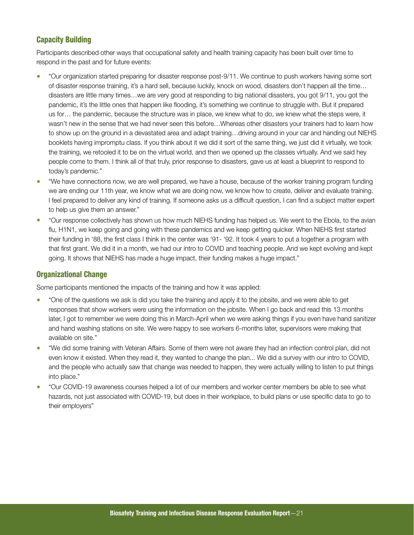### Capacity Building

Participants described other ways that occupational safety and health training capacity has been built over time to respond in the past and for future events:

- "Our organization started preparing for disaster response post-9/11. We continue to push workers having some sort of disaster response training, it's a hard sell, because luckily, knock on wood, disasters don't happen all the time… disasters are little many times…we are very good at responding to big national disasters, you got 9/11, you got the pandemic, it's the little ones that happen like flooding, it's something we continue to struggle with. But it prepared us for… the pandemic, because the structure was in place, we knew what to do, we knew what the steps were, it wasn't new in the sense that we had never seen this before…Whereas other disasters your trainers had to learn how to show up on the ground in a devastated area and adapt training...driving around in your car and handing out NIEHS booklets having impromptu class. If you think about it we did it sort of the same thing, we just did it virtually, we took the training, we retooled it to be on the virtual world, and then we opened up the classes virtually. And we said hey people come to them. I think all of that truly, prior response to disasters, gave us at least a blueprint to respond to today's pandemic."
- "We have connections now, we are well prepared, we have a house, because of the worker training program funding we are ending our 11th year, we know what we are doing now, we know how to create, deliver and evaluate training. I feel prepared to deliver any kind of training. If someone asks us a difficult question, I can find a subject matter expert to help us give them an answer."
- "Our response collectively has shown us how much NIEHS funding has helped us. We went to the Ebola, to the avian flu, H1N1, we keep going and going with these pandemics and we keep getting quicker. When NIEHS first started their funding in '88, the first class I think in the center was '91- '92. It took 4 years to put a together a program with that first grant. We did it in a month, we had our intro to COVID and teaching people. And we kept evolving and kept going. It shows that NIEHS has made a huge impact, their funding makes a huge impact."

### Organizational Change

Some participants mentioned the impacts of the training and how it was applied:

- "One of the questions we ask is did you take the training and apply it to the jobsite, and we were able to get responses that show workers were using the information on the jobsite. When I go back and read this 13 months later, I got to remember we were doing this in March-April when we were asking things if you even have hand sanitizer and hand washing stations on site. We were happy to see workers 6-months later, supervisors were making that available on site."
- "We did some training with Veteran Affairs. Some of them were not aware they had an infection control plan, did not even know it existed. When they read it, they wanted to change the plan... We did a survey with our intro to COVID, and the people who actually saw that change was needed to happen, they were actually willing to listen to put things into place."
- "Our COVID-19 awareness courses helped a lot of our members and worker center members be able to see what hazards, not just associated with COVID-19, but does in their workplace, to build plans or use specific data to go to their employers"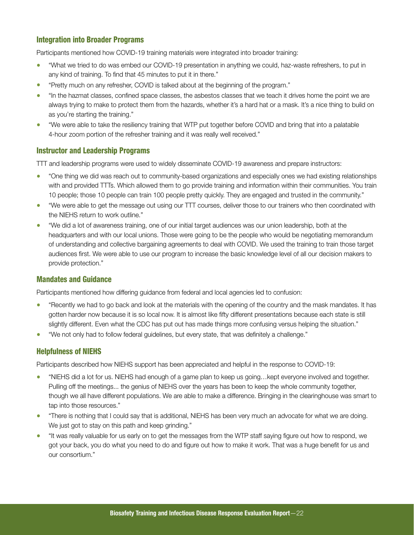### Integration into Broader Programs

Participants mentioned how COVID-19 training materials were integrated into broader training:

- "What we tried to do was embed our COVID-19 presentation in anything we could, haz-waste refreshers, to put in any kind of training. To find that 45 minutes to put it in there."
- "Pretty much on any refresher, COVID is talked about at the beginning of the program."
- "In the hazmat classes, confined space classes, the asbestos classes that we teach it drives home the point we are always trying to make to protect them from the hazards, whether it's a hard hat or a mask. It's a nice thing to build on as you're starting the training."
- "We were able to take the resiliency training that WTP put together before COVID and bring that into a palatable 4-hour zoom portion of the refresher training and it was really well received."

### Instructor and Leadership Programs

TTT and leadership programs were used to widely disseminate COVID-19 awareness and prepare instructors:

- "One thing we did was reach out to community-based organizations and especially ones we had existing relationships with and provided TTTs. Which allowed them to go provide training and information within their communities. You train 10 people; those 10 people can train 100 people pretty quickly. They are engaged and trusted in the community."
- "We were able to get the message out using our TTT courses, deliver those to our trainers who then coordinated with the NIEHS return to work outline." •
- "We did a lot of awareness training, one of our initial target audiences was our union leadership, both at the headquarters and with our local unions. Those were going to be the people who would be negotiating memorandum of understanding and collective bargaining agreements to deal with COVID. We used the training to train those target audiences first. We were able to use our program to increase the basic knowledge level of all our decision makers to provide protection."

#### Mandates and Guidance

Participants mentioned how differing guidance from federal and local agencies led to confusion:

- "Recently we had to go back and look at the materials with the opening of the country and the mask mandates. It has gotten harder now because it is so local now. It is almost like fifty different presentations because each state is still slightly different. Even what the CDC has put out has made things more confusing versus helping the situation."
- "We not only had to follow federal guidelines, but every state, that was definitely a challenge."

### Helpfulness of NIEHS

Participants described how NIEHS support has been appreciated and helpful in the response to COVID-19:

- "NIEHS did a lot for us. NIEHS had enough of a game plan to keep us going...kept everyone involved and together. Pulling off the meetings... the genius of NIEHS over the years has been to keep the whole community together, though we all have different populations. We are able to make a difference. Bringing in the clearinghouse was smart to tap into those resources."
- "There is nothing that I could say that is additional, NIEHS has been very much an advocate for what we are doing. We just got to stay on this path and keep grinding."
- "It was really valuable for us early on to get the messages from the WTP staff saying figure out how to respond, we got your back, you do what you need to do and figure out how to make it work. That was a huge benefit for us and our consortium."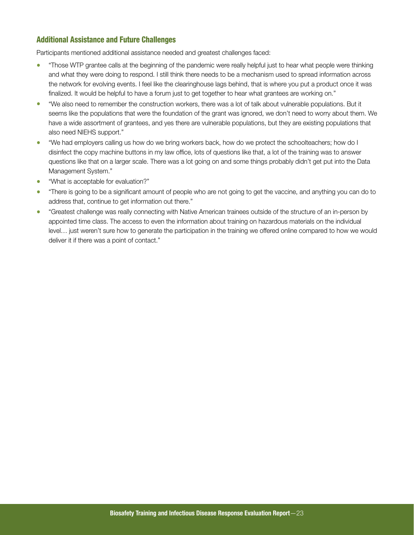### Additional Assistance and Future Challenges

Participants mentioned additional assistance needed and greatest challenges faced:

- "Those WTP grantee calls at the beginning of the pandemic were really helpful just to hear what people were thinking and what they were doing to respond. I still think there needs to be a mechanism used to spread information across the network for evolving events. I feel like the clearinghouse lags behind, that is where you put a product once it was finalized. It would be helpful to have a forum just to get together to hear what grantees are working on."
- "We also need to remember the construction workers, there was a lot of talk about vulnerable populations. But it seems like the populations that were the foundation of the grant was ignored, we don't need to worry about them. We have a wide assortment of grantees, and yes there are vulnerable populations, but they are existing populations that also need NIEHS support."
- "We had employers calling us how do we bring workers back, how do we protect the schoolteachers; how do I disinfect the copy machine buttons in my law office, lots of questions like that, a lot of the training was to answer questions like that on a larger scale. There was a lot going on and some things probably didn't get put into the Data Management System."
- "What is acceptable for evaluation?"
- "There is going to be a significant amount of people who are not going to get the vaccine, and anything you can do to address that, continue to get information out there."
- "Greatest challenge was really connecting with Native American trainees outside of the structure of an in-person by appointed time class. The access to even the information about training on hazardous materials on the individual level… just weren't sure how to generate the participation in the training we offered online compared to how we would deliver it if there was a point of contact."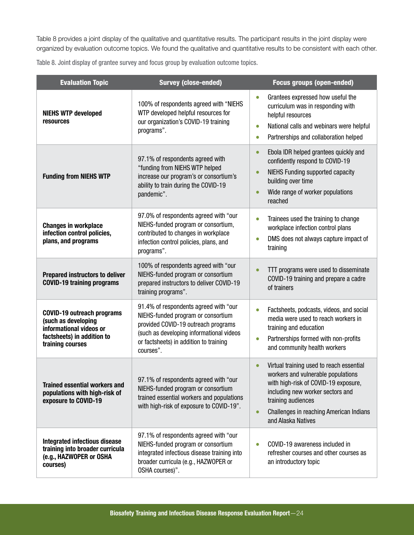Table 8 provides a joint display of the qualitative and quantitative results. The participant results in the joint display were organized by evaluation outcome topics. We found the qualitative and quantitative results to be consistent with each other.

Table 8. Joint display of grantee survey and focus group by evaluation outcome topics.

| <b>Evaluation Topic</b>                                                                                                               | <b>Survey (close-ended)</b>                                                                                                                                                                                           | <b>Focus groups (open-ended)</b>                                                                                                                                                                                                                                            |
|---------------------------------------------------------------------------------------------------------------------------------------|-----------------------------------------------------------------------------------------------------------------------------------------------------------------------------------------------------------------------|-----------------------------------------------------------------------------------------------------------------------------------------------------------------------------------------------------------------------------------------------------------------------------|
| <b>NIEHS WTP developed</b><br>resources                                                                                               | 100% of respondents agreed with "NIEHS<br>WTP developed helpful resources for<br>our organization's COVID-19 training<br>programs".                                                                                   | Grantees expressed how useful the<br>$\bullet$<br>curriculum was in responding with<br>helpful resources<br>National calls and webinars were helpful<br>$\bullet$<br>Partnerships and collaboration helped<br>$\bullet$                                                     |
| <b>Funding from NIEHS WTP</b>                                                                                                         | 97.1% of respondents agreed with<br>"funding from NIEHS WTP helped<br>increase our program's or consortium's<br>ability to train during the COVID-19<br>pandemic".                                                    | Ebola IDR helped grantees quickly and<br>$\bullet$<br>confidently respond to COVID-19<br><b>NIEHS Funding supported capacity</b><br>$\bullet$<br>building over time<br>Wide range of worker populations<br>$\bullet$<br>reached                                             |
| <b>Changes in workplace</b><br>infection control policies,<br>plans, and programs                                                     | 97.0% of respondents agreed with "our<br>NIEHS-funded program or consortium,<br>contributed to changes in workplace<br>infection control policies, plans, and<br>programs".                                           | Trainees used the training to change<br>$\bullet$<br>workplace infection control plans<br>DMS does not always capture impact of<br>$\bullet$<br>training                                                                                                                    |
| <b>Prepared instructors to deliver</b><br><b>COVID-19 training programs</b>                                                           | 100% of respondents agreed with "our<br>NIEHS-funded program or consortium<br>prepared instructors to deliver COVID-19<br>training programs".                                                                         | TTT programs were used to disseminate<br>$\bullet$<br>COVID-19 training and prepare a cadre<br>of trainers                                                                                                                                                                  |
| <b>COVID-19 outreach programs</b><br>(such as developing<br>informational videos or<br>factsheets) in addition to<br>training courses | 91.4% of respondents agreed with "our<br>NIEHS-funded program or consortium<br>provided COVID-19 outreach programs<br>(such as developing informational videos<br>or factsheets) in addition to training<br>courses". | Factsheets, podcasts, videos, and social<br>$\bullet$<br>media were used to reach workers in<br>training and education<br>Partnerships formed with non-profits<br>$\bullet$<br>and community health workers                                                                 |
| <b>Trained essential workers and</b><br>populations with high-risk of<br>exposure to COVID-19                                         | 97.1% of respondents agreed with "our<br>NIEHS-funded program or consortium<br>trained essential workers and populations<br>with high-risk of exposure to COVID-19".                                                  | Virtual training used to reach essential<br>$\bullet$<br>workers and vulnerable populations<br>with high-risk of COVID-19 exposure,<br>including new worker sectors and<br>training audiences<br>Challenges in reaching American Indians<br>$\bullet$<br>and Alaska Natives |
| <b>Integrated infectious disease</b><br>training into broader curricula<br>(e.g., HAZWOPER or OSHA<br>courses)                        | 97.1% of respondents agreed with "our<br>NIEHS-funded program or consortium<br>integrated infectious disease training into<br>broader curricula (e.g., HAZWOPER or<br>OSHA courses)".                                 | COVID-19 awareness included in<br>$\bullet$<br>refresher courses and other courses as<br>an introductory topic                                                                                                                                                              |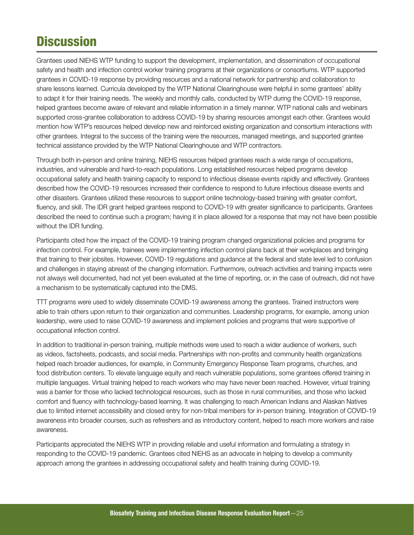## <span id="page-26-0"></span>**Discussion**

Grantees used NIEHS WTP funding to support the development, implementation, and dissemination of occupational safety and health and infection control worker training programs at their organizations or consortiums. WTP supported grantees in COVID-19 response by providing resources and a national network for partnership and collaboration to share lessons learned. Curricula developed by the WTP National Clearinghouse were helpful in some grantees' ability to adapt it for their training needs. The weekly and monthly calls, conducted by WTP during the COVID-19 response, helped grantees become aware of relevant and reliable information in a timely manner. WTP national calls and webinars supported cross-grantee collaboration to address COVID-19 by sharing resources amongst each other. Grantees would mention how WTP's resources helped develop new and reinforced existing organization and consortium interactions with other grantees. Integral to the success of the training were the resources, managed meetings, and supported grantee technical assistance provided by the WTP National Clearinghouse and WTP contractors.

Through both in-person and online training, NIEHS resources helped grantees reach a wide range of occupations, industries, and vulnerable and hard-to-reach populations. Long established resources helped programs develop occupational safety and health training capacity to respond to infectious disease events rapidly and effectively. Grantees described how the COVID-19 resources increased their confidence to respond to future infectious disease events and other disasters. Grantees utilized these resources to support online technology-based training with greater comfort, fluency, and skill. The IDR grant helped grantees respond to COVID-19 with greater significance to participants. Grantees described the need to continue such a program; having it in place allowed for a response that may not have been possible without the IDR funding.

Participants cited how the impact of the COVID-19 training program changed organizational policies and programs for infection control. For example, trainees were implementing infection control plans back at their workplaces and bringing that training to their jobsites. However, COVID-19 regulations and guidance at the federal and state level led to confusion and challenges in staying abreast of the changing information. Furthermore, outreach activities and training impacts were not always well documented, had not yet been evaluated at the time of reporting, or, in the case of outreach, did not have a mechanism to be systematically captured into the DMS.

TTT programs were used to widely disseminate COVID-19 awareness among the grantees. Trained instructors were able to train others upon return to their organization and communities. Leadership programs, for example, among union leadership, were used to raise COVID-19 awareness and implement policies and programs that were supportive of occupational infection control.

In addition to traditional in-person training, multiple methods were used to reach a wider audience of workers, such as videos, factsheets, podcasts, and social media. Partnerships with non-profits and community health organizations helped reach broader audiences, for example, in Community Emergency Response Team programs, churches, and food distribution centers. To elevate language equity and reach vulnerable populations, some grantees offered training in multiple languages. Virtual training helped to reach workers who may have never been reached. However, virtual training was a barrier for those who lacked technological resources, such as those in rural communities, and those who lacked comfort and fluency with technology-based learning. It was challenging to reach American Indians and Alaskan Natives due to limited internet accessibility and closed entry for non-tribal members for in-person training. Integration of COVID-19 awareness into broader courses, such as refreshers and as introductory content, helped to reach more workers and raise awareness.

Participants appreciated the NIEHS WTP in providing reliable and useful information and formulating a strategy in responding to the COVID-19 pandemic. Grantees cited NIEHS as an advocate in helping to develop a community approach among the grantees in addressing occupational safety and health training during COVID-19.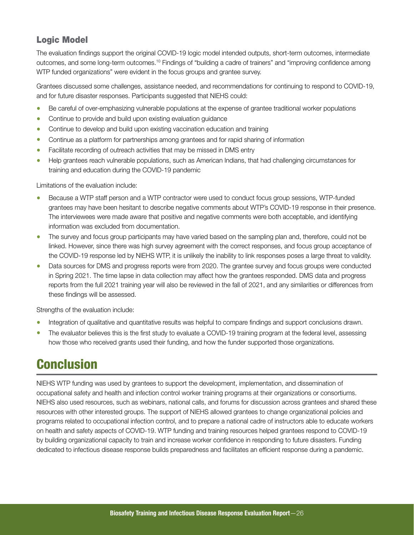### <span id="page-27-0"></span>Logic Model

The evaluation findings support the original COVID-19 logic model intended outputs, short-term outcomes, intermediate outcomes, and some long-term outcomes.10 Findings of "building a cadre of trainers" and "improving confidence among WTP funded organizations" were evident in the focus groups and grantee survey.

Grantees discussed some challenges, assistance needed, and recommendations for continuing to respond to COVID-19, and for future disaster responses. Participants suggested that NIEHS could:

- Be careful of over-emphasizing vulnerable populations at the expense of grantee traditional worker populations
- Continue to provide and build upon existing evaluation guidance
- Continue to develop and build upon existing vaccination education and training
- Continue as a platform for partnerships among grantees and for rapid sharing of information
- Facilitate recording of outreach activities that may be missed in DMS entry
- Help grantees reach vulnerable populations, such as American Indians, that had challenging circumstances for training and education during the COVID-19 pandemic

Limitations of the evaluation include:

- Because a WTP staff person and a WTP contractor were used to conduct focus group sessions, WTP-funded grantees may have been hesitant to describe negative comments about WTP's COVID-19 response in their presence. The interviewees were made aware that positive and negative comments were both acceptable, and identifying information was excluded from documentation.
- The survey and focus group participants may have varied based on the sampling plan and, therefore, could not be linked. However, since there was high survey agreement with the correct responses, and focus group acceptance of the COVID-19 response led by NIEHS WTP, it is unlikely the inability to link responses poses a large threat to validity.
- Data sources for DMS and progress reports were from 2020. The grantee survey and focus groups were conducted in Spring 2021. The time lapse in data collection may affect how the grantees responded. DMS data and progress reports from the full 2021 training year will also be reviewed in the fall of 2021, and any similarities or differences from these findings will be assessed.

Strengths of the evaluation include:

- Integration of qualitative and quantitative results was helpful to compare findings and support conclusions drawn.
- The evaluator believes this is the first study to evaluate a COVID-19 training program at the federal level, assessing how those who received grants used their funding, and how the funder supported those organizations.

## **Conclusion**

NIEHS WTP funding was used by grantees to support the development, implementation, and dissemination of occupational safety and health and infection control worker training programs at their organizations or consortiums. NIEHS also used resources, such as webinars, national calls, and forums for discussion across grantees and shared these resources with other interested groups. The support of NIEHS allowed grantees to change organizational policies and programs related to occupational infection control, and to prepare a national cadre of instructors able to educate workers on health and safety aspects of COVID-19. WTP funding and training resources helped grantees respond to COVID-19 by building organizational capacity to train and increase worker confidence in responding to future disasters. Funding dedicated to infectious disease response builds preparedness and facilitates an efficient response during a pandemic.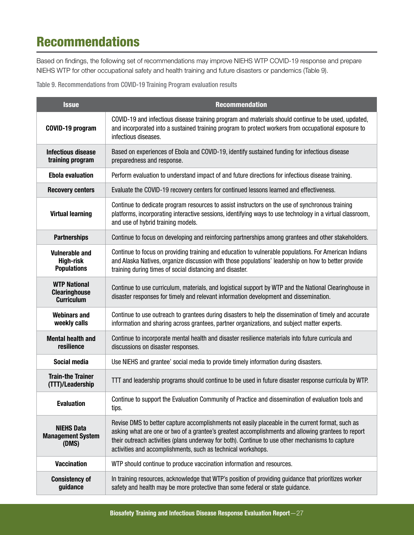## Recommendations

Based on findings, the following set of recommendations may improve NIEHS WTP COVID-19 response and prepare NIEHS WTP for other occupational safety and health training and future disasters or pandemics (Table 9).

Table 9. Recommendations from COVID-19 Training Program evaluation results

| <b>Issue</b>                                                                                                                 | <b>Recommendation</b>                                                                                                                                                                                                                                                                                                                                                      |  |  |
|------------------------------------------------------------------------------------------------------------------------------|----------------------------------------------------------------------------------------------------------------------------------------------------------------------------------------------------------------------------------------------------------------------------------------------------------------------------------------------------------------------------|--|--|
| COVID-19 program                                                                                                             | COVID-19 and infectious disease training program and materials should continue to be used, updated,<br>and incorporated into a sustained training program to protect workers from occupational exposure to<br>infectious diseases.                                                                                                                                         |  |  |
| <b>Infectious disease</b><br>training program                                                                                | Based on experiences of Ebola and COVID-19, identify sustained funding for infectious disease<br>preparedness and response.                                                                                                                                                                                                                                                |  |  |
| <b>Ebola evaluation</b><br>Perform evaluation to understand impact of and future directions for infectious disease training. |                                                                                                                                                                                                                                                                                                                                                                            |  |  |
| <b>Recovery centers</b>                                                                                                      | Evaluate the COVID-19 recovery centers for continued lessons learned and effectiveness.                                                                                                                                                                                                                                                                                    |  |  |
| <b>Virtual learning</b>                                                                                                      | Continue to dedicate program resources to assist instructors on the use of synchronous training<br>platforms, incorporating interactive sessions, identifying ways to use technology in a virtual classroom,<br>and use of hybrid training models.                                                                                                                         |  |  |
| <b>Partnerships</b>                                                                                                          | Continue to focus on developing and reinforcing partnerships among grantees and other stakeholders.                                                                                                                                                                                                                                                                        |  |  |
| <b>Vulnerable and</b><br><b>High-risk</b><br><b>Populations</b>                                                              | Continue to focus on providing training and education to vulnerable populations. For American Indians<br>and Alaska Natives, organize discussion with those populations' leadership on how to better provide<br>training during times of social distancing and disaster.                                                                                                   |  |  |
| <b>WTP National</b><br><b>Clearinghouse</b><br><b>Curriculum</b>                                                             | Continue to use curriculum, materials, and logistical support by WTP and the National Clearinghouse in<br>disaster responses for timely and relevant information development and dissemination.                                                                                                                                                                            |  |  |
| <b>Webinars and</b><br>weekly calls                                                                                          | Continue to use outreach to grantees during disasters to help the dissemination of timely and accurate<br>information and sharing across grantees, partner organizations, and subject matter experts.                                                                                                                                                                      |  |  |
| <b>Mental health and</b><br>resilience                                                                                       | Continue to incorporate mental health and disaster resilience materials into future curricula and<br>discussions on disaster responses.                                                                                                                                                                                                                                    |  |  |
| Social media                                                                                                                 | Use NIEHS and grantee' social media to provide timely information during disasters.                                                                                                                                                                                                                                                                                        |  |  |
| <b>Train-the Trainer</b><br>(TTT)/Leadership                                                                                 | TTT and leadership programs should continue to be used in future disaster response curricula by WTP.                                                                                                                                                                                                                                                                       |  |  |
| <b>Evaluation</b>                                                                                                            | Continue to support the Evaluation Community of Practice and dissemination of evaluation tools and<br>tips.                                                                                                                                                                                                                                                                |  |  |
| <b>NIEHS Data</b><br><b>Management System</b><br>(DMS)                                                                       | Revise DMS to better capture accomplishments not easily placeable in the current format, such as<br>asking what are one or two of a grantee's greatest accomplishments and allowing grantees to report<br>their outreach activities (plans underway for both). Continue to use other mechanisms to capture<br>activities and accomplishments, such as technical workshops. |  |  |
| <b>Vaccination</b>                                                                                                           | WTP should continue to produce vaccination information and resources.                                                                                                                                                                                                                                                                                                      |  |  |
| <b>Consistency of</b><br>guidance                                                                                            | In training resources, acknowledge that WTP's position of providing guidance that prioritizes worker<br>safety and health may be more protective than some federal or state guidance.                                                                                                                                                                                      |  |  |